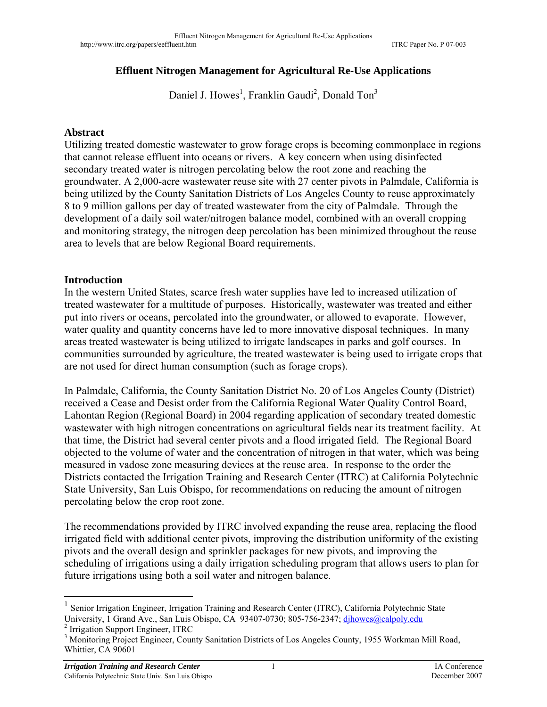## **Effluent Nitrogen Management for Agricultural Re-Use Applications**

Daniel J. Howes<sup>1</sup>, Franklin Gaudi<sup>2</sup>, Donald Ton<sup>3</sup>

## **Abstract**

Utilizing treated domestic wastewater to grow forage crops is becoming commonplace in regions that cannot release effluent into oceans or rivers. A key concern when using disinfected secondary treated water is nitrogen percolating below the root zone and reaching the groundwater. A 2,000-acre wastewater reuse site with 27 center pivots in Palmdale, California is being utilized by the County Sanitation Districts of Los Angeles County to reuse approximately 8 to 9 million gallons per day of treated wastewater from the city of Palmdale. Through the development of a daily soil water/nitrogen balance model, combined with an overall cropping and monitoring strategy, the nitrogen deep percolation has been minimized throughout the reuse area to levels that are below Regional Board requirements.

## **Introduction**

In the western United States, scarce fresh water supplies have led to increased utilization of treated wastewater for a multitude of purposes. Historically, wastewater was treated and either put into rivers or oceans, percolated into the groundwater, or allowed to evaporate. However, water quality and quantity concerns have led to more innovative disposal techniques. In many areas treated wastewater is being utilized to irrigate landscapes in parks and golf courses. In communities surrounded by agriculture, the treated wastewater is being used to irrigate crops that are not used for direct human consumption (such as forage crops).

In Palmdale, California, the County Sanitation District No. 20 of Los Angeles County (District) received a Cease and Desist order from the California Regional Water Quality Control Board, Lahontan Region (Regional Board) in 2004 regarding application of secondary treated domestic wastewater with high nitrogen concentrations on agricultural fields near its treatment facility. At that time, the District had several center pivots and a flood irrigated field. The Regional Board objected to the volume of water and the concentration of nitrogen in that water, which was being measured in vadose zone measuring devices at the reuse area. In response to the order the Districts contacted the Irrigation Training and Research Center (ITRC) at California Polytechnic State University, San Luis Obispo, for recommendations on reducing the amount of nitrogen percolating below the crop root zone.

The recommendations provided by ITRC involved expanding the reuse area, replacing the flood irrigated field with additional center pivots, improving the distribution uniformity of the existing pivots and the overall design and sprinkler packages for new pivots, and improving the scheduling of irrigations using a daily irrigation scheduling program that allows users to plan for future irrigations using both a soil water and nitrogen balance.

<sup>2</sup> Irrigation Support Engineer, ITRC

1

<sup>&</sup>lt;sup>1</sup> Senior Irrigation Engineer, Irrigation Training and Research Center (ITRC), California Polytechnic State University, 1 Grand Ave., San Luis Obispo, CA 93407-0730; 805-756-2347; dihowes@calpoly.edu

<sup>&</sup>lt;sup>3</sup> Monitoring Project Engineer, County Sanitation Districts of Los Angeles County, 1955 Workman Mill Road, Whittier, CA 90601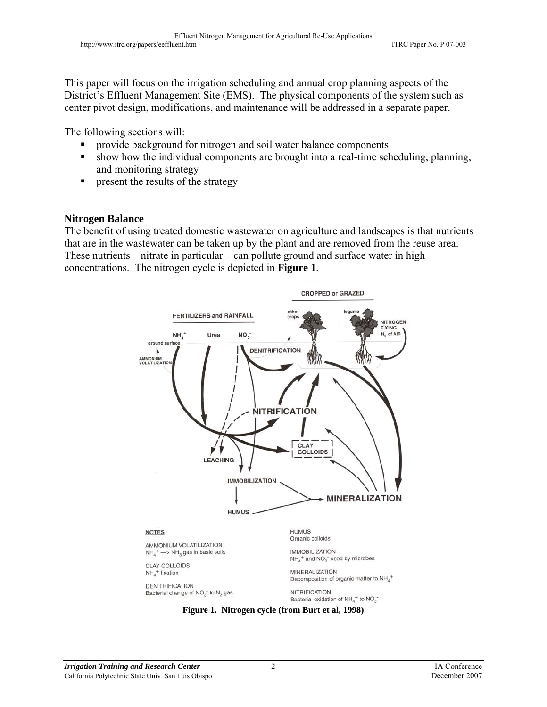This paper will focus on the irrigation scheduling and annual crop planning aspects of the District's Effluent Management Site (EMS). The physical components of the system such as center pivot design, modifications, and maintenance will be addressed in a separate paper.

The following sections will:

- provide background for nitrogen and soil water balance components
- show how the individual components are brought into a real-time scheduling, planning, and monitoring strategy
- **PERICIPE 1** present the results of the strategy

## **Nitrogen Balance**

The benefit of using treated domestic wastewater on agriculture and landscapes is that nutrients that are in the wastewater can be taken up by the plant and are removed from the reuse area. These nutrients – nitrate in particular – can pollute ground and surface water in high concentrations. The nitrogen cycle is depicted in **Figure 1**.



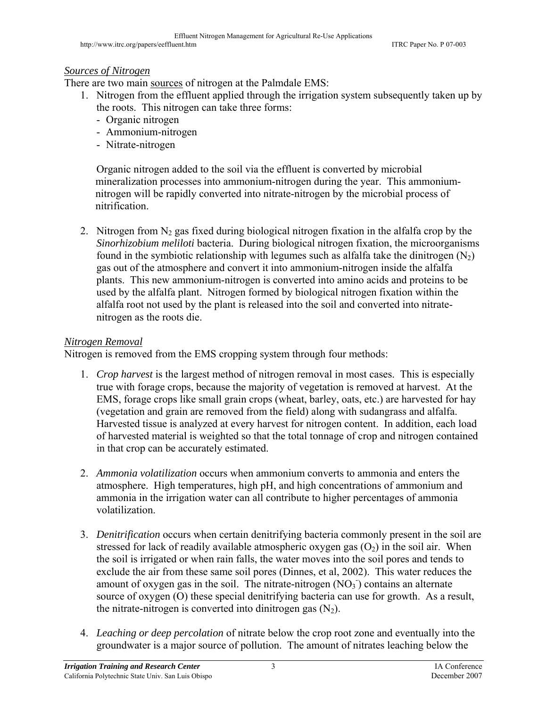# *Sources of Nitrogen*

There are two main sources of nitrogen at the Palmdale EMS:

- 1. Nitrogen from the effluent applied through the irrigation system subsequently taken up by the roots. This nitrogen can take three forms:
	- Organic nitrogen
	- Ammonium-nitrogen
	- Nitrate-nitrogen

Organic nitrogen added to the soil via the effluent is converted by microbial mineralization processes into ammonium-nitrogen during the year. This ammoniumnitrogen will be rapidly converted into nitrate-nitrogen by the microbial process of nitrification.

2. Nitrogen from  $N_2$  gas fixed during biological nitrogen fixation in the alfalfa crop by the *Sinorhizobium meliloti* bacteria. During biological nitrogen fixation, the microorganisms found in the symbiotic relationship with legumes such as alfalfa take the dinitrogen  $(N_2)$ gas out of the atmosphere and convert it into ammonium-nitrogen inside the alfalfa plants. This new ammonium-nitrogen is converted into amino acids and proteins to be used by the alfalfa plant. Nitrogen formed by biological nitrogen fixation within the alfalfa root not used by the plant is released into the soil and converted into nitratenitrogen as the roots die.

# *Nitrogen Removal*

Nitrogen is removed from the EMS cropping system through four methods:

- 1. *Crop harvest* is the largest method of nitrogen removal in most cases. This is especially true with forage crops, because the majority of vegetation is removed at harvest. At the EMS, forage crops like small grain crops (wheat, barley, oats, etc.) are harvested for hay (vegetation and grain are removed from the field) along with sudangrass and alfalfa. Harvested tissue is analyzed at every harvest for nitrogen content. In addition, each load of harvested material is weighted so that the total tonnage of crop and nitrogen contained in that crop can be accurately estimated.
- 2. *Ammonia volatilization* occurs when ammonium converts to ammonia and enters the atmosphere. High temperatures, high pH, and high concentrations of ammonium and ammonia in the irrigation water can all contribute to higher percentages of ammonia volatilization.
- 3. *Denitrification* occurs when certain denitrifying bacteria commonly present in the soil are stressed for lack of readily available atmospheric oxygen gas  $(O_2)$  in the soil air. When the soil is irrigated or when rain falls, the water moves into the soil pores and tends to exclude the air from these same soil pores (Dinnes, et al, 2002). This water reduces the amount of oxygen gas in the soil. The nitrate-nitrogen  $(NO<sub>3</sub>)$  contains an alternate source of oxygen (O) these special denitrifying bacteria can use for growth. As a result, the nitrate-nitrogen is converted into dinitrogen gas  $(N_2)$ .
- 4. *Leaching or deep percolation* of nitrate below the crop root zone and eventually into the groundwater is a major source of pollution. The amount of nitrates leaching below the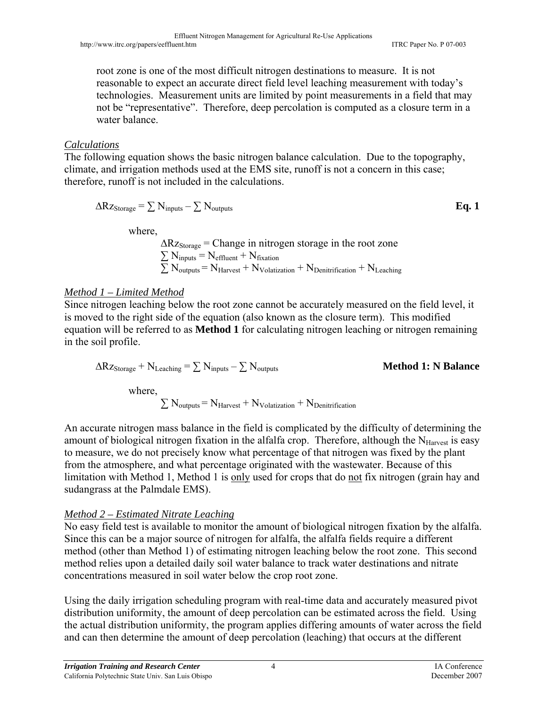root zone is one of the most difficult nitrogen destinations to measure. It is not reasonable to expect an accurate direct field level leaching measurement with today's technologies. Measurement units are limited by point measurements in a field that may not be "representative". Therefore, deep percolation is computed as a closure term in a water balance.

## *Calculations*

The following equation shows the basic nitrogen balance calculation. Due to the topography, climate, and irrigation methods used at the EMS site, runoff is not a concern in this case; therefore, runoff is not included in the calculations.

$$
\Delta R z_{\text{Storage}} = \sum N_{\text{inputs}} - \sum N_{\text{outputs}} \tag{Eq. 1}
$$

where,

 $\Delta Rz_{\text{Storage}} = \text{Change in nitrogen storage in the root zone}$  $\sum N_{\text{inputs}} = N_{\text{effluent}} + N_{\text{fixation}}$  $\sum N_{\text{outputs}} = N_{\text{Harvest}} + N_{\text{Volatization}} + N_{\text{Denitrification}} + N_{\text{Leaching}}$ 

# *Method 1 – Limited Method*

Since nitrogen leaching below the root zone cannot be accurately measured on the field level, it is moved to the right side of the equation (also known as the closure term). This modified equation will be referred to as **Method 1** for calculating nitrogen leaching or nitrogen remaining in the soil profile.

$$
\Delta R z_{\text{Storage}} + N_{\text{Leaching}} = \sum N_{\text{inputs}} - \sum N_{\text{outputs}}
$$

## $$

where,

 $\sum N_{\text{outputs}} = N_{\text{Harvest}} + N_{\text{Volatization}} + N_{\text{Denitrification}}$ 

An accurate nitrogen mass balance in the field is complicated by the difficulty of determining the amount of biological nitrogen fixation in the alfalfa crop. Therefore, although the  $N_{\text{Harvest}}$  is easy to measure, we do not precisely know what percentage of that nitrogen was fixed by the plant from the atmosphere, and what percentage originated with the wastewater. Because of this limitation with Method 1, Method 1 is only used for crops that do not fix nitrogen (grain hay and sudangrass at the Palmdale EMS).

# *Method 2 – Estimated Nitrate Leaching*

No easy field test is available to monitor the amount of biological nitrogen fixation by the alfalfa. Since this can be a major source of nitrogen for alfalfa, the alfalfa fields require a different method (other than Method 1) of estimating nitrogen leaching below the root zone. This second method relies upon a detailed daily soil water balance to track water destinations and nitrate concentrations measured in soil water below the crop root zone.

Using the daily irrigation scheduling program with real-time data and accurately measured pivot distribution uniformity, the amount of deep percolation can be estimated across the field. Using the actual distribution uniformity, the program applies differing amounts of water across the field and can then determine the amount of deep percolation (leaching) that occurs at the different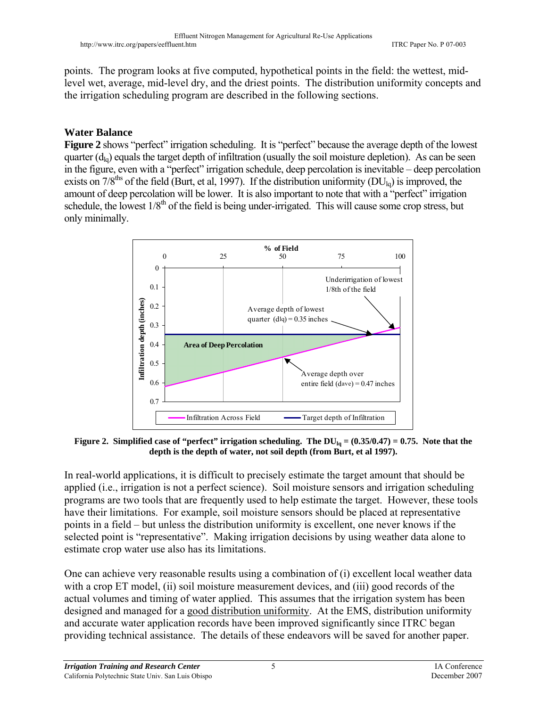points. The program looks at five computed, hypothetical points in the field: the wettest, midlevel wet, average, mid-level dry, and the driest points. The distribution uniformity concepts and the irrigation scheduling program are described in the following sections.

# **Water Balance**

**Figure 2** shows "perfect" irrigation scheduling. It is "perfect" because the average depth of the lowest quarter  $(d<sub>lo</sub>)$  equals the target depth of infiltration (usually the soil moisture depletion). As can be seen in the figure, even with a "perfect" irrigation schedule, deep percolation is inevitable – deep percolation exists on  $7/8$ <sup>ths</sup> of the field (Burt, et al, 1997). If the distribution uniformity (DU<sub>lg</sub>) is improved, the amount of deep percolation will be lower. It is also important to note that with a "perfect" irrigation schedule, the lowest  $1/8<sup>th</sup>$  of the field is being under-irrigated. This will cause some crop stress, but only minimally.



**Figure 2. Simplified case of "perfect" irrigation scheduling. The DU<sub>lq</sub> = (0.35/0.47) = 0.75. Note that the depth is the depth of water, not soil depth (from Burt, et al 1997).** 

In real-world applications, it is difficult to precisely estimate the target amount that should be applied (i.e., irrigation is not a perfect science). Soil moisture sensors and irrigation scheduling programs are two tools that are frequently used to help estimate the target. However, these tools have their limitations. For example, soil moisture sensors should be placed at representative points in a field – but unless the distribution uniformity is excellent, one never knows if the selected point is "representative". Making irrigation decisions by using weather data alone to estimate crop water use also has its limitations.

One can achieve very reasonable results using a combination of (i) excellent local weather data with a crop ET model, (ii) soil moisture measurement devices, and (iii) good records of the actual volumes and timing of water applied. This assumes that the irrigation system has been designed and managed for a good distribution uniformity. At the EMS, distribution uniformity and accurate water application records have been improved significantly since ITRC began providing technical assistance. The details of these endeavors will be saved for another paper.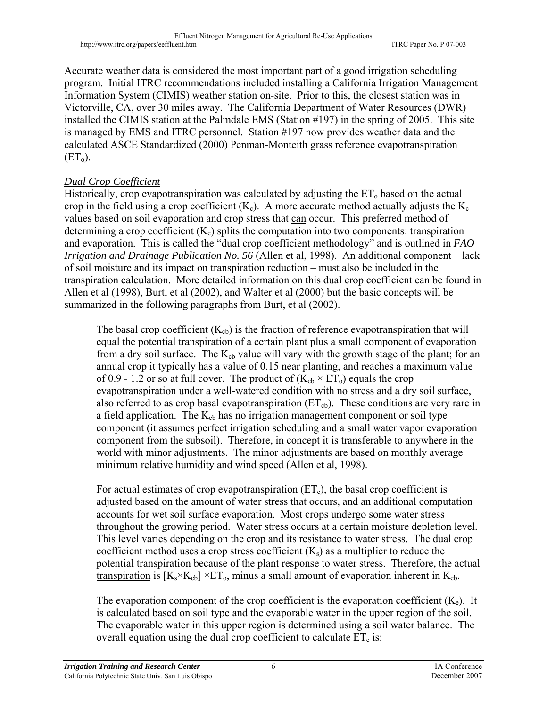Accurate weather data is considered the most important part of a good irrigation scheduling program. Initial ITRC recommendations included installing a California Irrigation Management Information System (CIMIS) weather station on-site. Prior to this, the closest station was in Victorville, CA, over 30 miles away. The California Department of Water Resources (DWR) installed the CIMIS station at the Palmdale EMS (Station #197) in the spring of 2005. This site is managed by EMS and ITRC personnel. Station #197 now provides weather data and the calculated ASCE Standardized (2000) Penman-Monteith grass reference evapotranspiration  $(ET_0)$ .

# *Dual Crop Coefficient*

Historically, crop evapotranspiration was calculated by adjusting the  $ET_0$  based on the actual crop in the field using a crop coefficient  $(K_c)$ . A more accurate method actually adjusts the  $K_c$ values based on soil evaporation and crop stress that can occur. This preferred method of determining a crop coefficient  $(K_c)$  splits the computation into two components: transpiration and evaporation. This is called the "dual crop coefficient methodology" and is outlined in *FAO Irrigation and Drainage Publication No. 56* (Allen et al, 1998). An additional component – lack of soil moisture and its impact on transpiration reduction – must also be included in the transpiration calculation. More detailed information on this dual crop coefficient can be found in Allen et al (1998), Burt, et al (2002), and Walter et al (2000) but the basic concepts will be summarized in the following paragraphs from Burt, et al (2002).

The basal crop coefficient  $(K_{cb})$  is the fraction of reference evapotranspiration that will equal the potential transpiration of a certain plant plus a small component of evaporation from a dry soil surface. The  $K_{cb}$  value will vary with the growth stage of the plant; for an annual crop it typically has a value of 0.15 near planting, and reaches a maximum value of 0.9 - 1.2 or so at full cover. The product of  $(K_{cb} \times ET_0)$  equals the crop evapotranspiration under a well-watered condition with no stress and a dry soil surface, also referred to as crop basal evapotranspiration  $(ET_{cb})$ . These conditions are very rare in a field application. The  $K_{cb}$  has no irrigation management component or soil type component (it assumes perfect irrigation scheduling and a small water vapor evaporation component from the subsoil). Therefore, in concept it is transferable to anywhere in the world with minor adjustments. The minor adjustments are based on monthly average minimum relative humidity and wind speed (Allen et al, 1998).

For actual estimates of crop evapotranspiration  $(ET_c)$ , the basal crop coefficient is adjusted based on the amount of water stress that occurs, and an additional computation accounts for wet soil surface evaporation. Most crops undergo some water stress throughout the growing period. Water stress occurs at a certain moisture depletion level. This level varies depending on the crop and its resistance to water stress. The dual crop coefficient method uses a crop stress coefficient  $(K_s)$  as a multiplier to reduce the potential transpiration because of the plant response to water stress. Therefore, the actual transpiration is  $[K_s \times K_{cb}] \times ET_0$ , minus a small amount of evaporation inherent in  $K_{cb}$ .

The evaporation component of the crop coefficient is the evaporation coefficient  $(K_e)$ . It is calculated based on soil type and the evaporable water in the upper region of the soil. The evaporable water in this upper region is determined using a soil water balance. The overall equation using the dual crop coefficient to calculate  $ET_c$  is: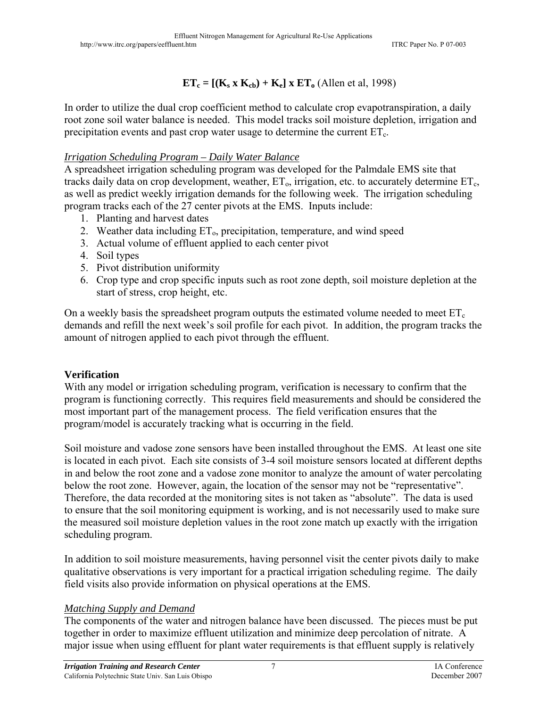# $ET_c = [(K_s \times K_{cb}) + K_e] \times ET_o$  (Allen et al, 1998)

In order to utilize the dual crop coefficient method to calculate crop evapotranspiration, a daily root zone soil water balance is needed. This model tracks soil moisture depletion, irrigation and precipitation events and past crop water usage to determine the current  $ET_c$ .

## *Irrigation Scheduling Program – Daily Water Balance*

A spreadsheet irrigation scheduling program was developed for the Palmdale EMS site that tracks daily data on crop development, weather,  $ET_0$ , irrigation, etc. to accurately determine  $ET_c$ , as well as predict weekly irrigation demands for the following week. The irrigation scheduling program tracks each of the 27 center pivots at the EMS. Inputs include:

- 1. Planting and harvest dates
- 2. Weather data including  $ET_0$ , precipitation, temperature, and wind speed
- 3. Actual volume of effluent applied to each center pivot
- 4. Soil types
- 5. Pivot distribution uniformity
- 6. Crop type and crop specific inputs such as root zone depth, soil moisture depletion at the start of stress, crop height, etc.

On a weekly basis the spreadsheet program outputs the estimated volume needed to meet  $ET_c$ demands and refill the next week's soil profile for each pivot. In addition, the program tracks the amount of nitrogen applied to each pivot through the effluent.

## **Verification**

With any model or irrigation scheduling program, verification is necessary to confirm that the program is functioning correctly. This requires field measurements and should be considered the most important part of the management process. The field verification ensures that the program/model is accurately tracking what is occurring in the field.

Soil moisture and vadose zone sensors have been installed throughout the EMS. At least one site is located in each pivot. Each site consists of 3-4 soil moisture sensors located at different depths in and below the root zone and a vadose zone monitor to analyze the amount of water percolating below the root zone. However, again, the location of the sensor may not be "representative". Therefore, the data recorded at the monitoring sites is not taken as "absolute". The data is used to ensure that the soil monitoring equipment is working, and is not necessarily used to make sure the measured soil moisture depletion values in the root zone match up exactly with the irrigation scheduling program.

In addition to soil moisture measurements, having personnel visit the center pivots daily to make qualitative observations is very important for a practical irrigation scheduling regime. The daily field visits also provide information on physical operations at the EMS.

## *Matching Supply and Demand*

The components of the water and nitrogen balance have been discussed. The pieces must be put together in order to maximize effluent utilization and minimize deep percolation of nitrate. A major issue when using effluent for plant water requirements is that effluent supply is relatively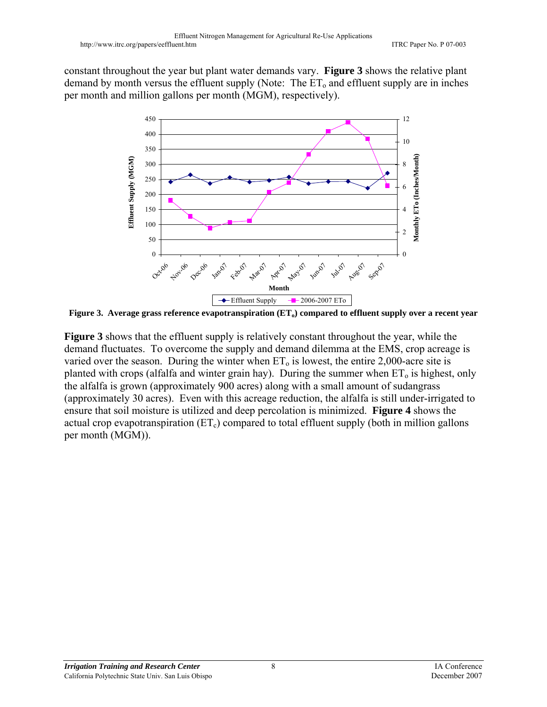constant throughout the year but plant water demands vary. **Figure 3** shows the relative plant demand by month versus the effluent supply (Note: The  $ET_0$  and effluent supply are in inches per month and million gallons per month (MGM), respectively).



Figure 3. Average grass reference evapotranspiration (ET<sub>o</sub>) compared to effluent supply over a recent year

**Figure 3** shows that the effluent supply is relatively constant throughout the year, while the demand fluctuates. To overcome the supply and demand dilemma at the EMS, crop acreage is varied over the season. During the winter when  $ET_0$  is lowest, the entire 2,000-acre site is planted with crops (alfalfa and winter grain hay). During the summer when  $ET_0$  is highest, only the alfalfa is grown (approximately 900 acres) along with a small amount of sudangrass (approximately 30 acres). Even with this acreage reduction, the alfalfa is still under-irrigated to ensure that soil moisture is utilized and deep percolation is minimized. **Figure 4** shows the actual crop evapotranspiration  $(ET_c)$  compared to total effluent supply (both in million gallons per month (MGM)).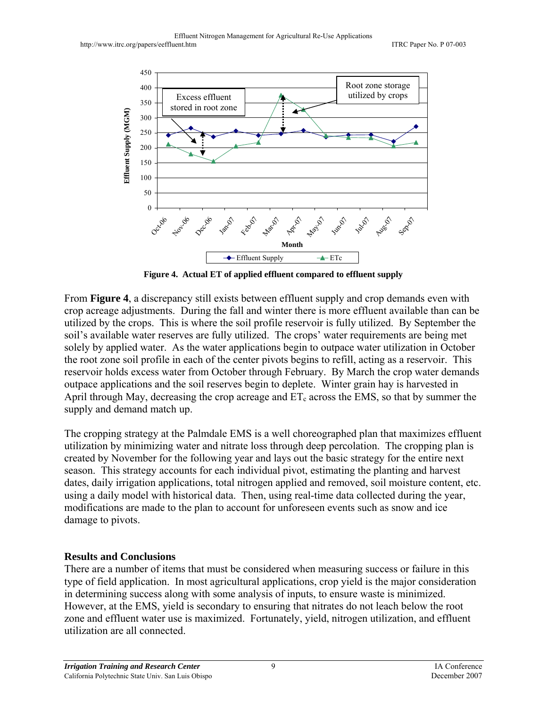

**Figure 4. Actual ET of applied effluent compared to effluent supply** 

From **Figure 4**, a discrepancy still exists between effluent supply and crop demands even with crop acreage adjustments. During the fall and winter there is more effluent available than can be utilized by the crops. This is where the soil profile reservoir is fully utilized. By September the soil's available water reserves are fully utilized. The crops' water requirements are being met solely by applied water. As the water applications begin to outpace water utilization in October the root zone soil profile in each of the center pivots begins to refill, acting as a reservoir. This reservoir holds excess water from October through February. By March the crop water demands outpace applications and the soil reserves begin to deplete. Winter grain hay is harvested in April through May, decreasing the crop acreage and  $ET_c$  across the EMS, so that by summer the supply and demand match up.

The cropping strategy at the Palmdale EMS is a well choreographed plan that maximizes effluent utilization by minimizing water and nitrate loss through deep percolation. The cropping plan is created by November for the following year and lays out the basic strategy for the entire next season. This strategy accounts for each individual pivot, estimating the planting and harvest dates, daily irrigation applications, total nitrogen applied and removed, soil moisture content, etc. using a daily model with historical data. Then, using real-time data collected during the year, modifications are made to the plan to account for unforeseen events such as snow and ice damage to pivots.

# **Results and Conclusions**

There are a number of items that must be considered when measuring success or failure in this type of field application. In most agricultural applications, crop yield is the major consideration in determining success along with some analysis of inputs, to ensure waste is minimized. However, at the EMS, yield is secondary to ensuring that nitrates do not leach below the root zone and effluent water use is maximized. Fortunately, yield, nitrogen utilization, and effluent utilization are all connected.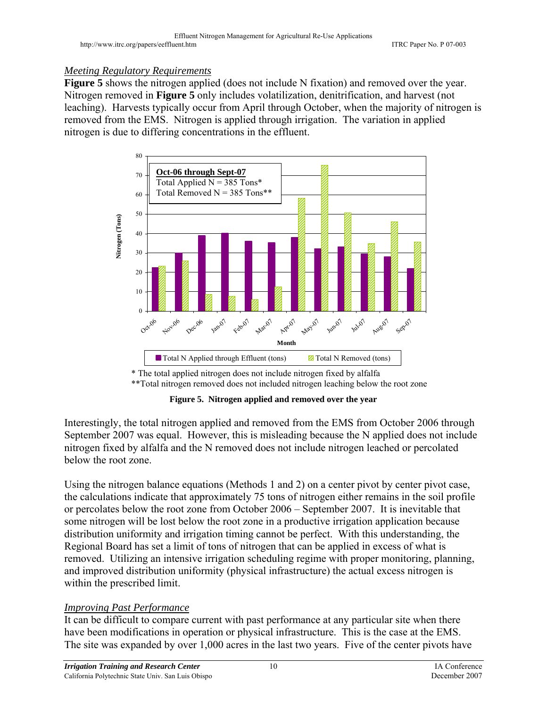## *Meeting Regulatory Requirements*

**Figure 5** shows the nitrogen applied (does not include N fixation) and removed over the year. Nitrogen removed in **Figure 5** only includes volatilization, denitrification, and harvest (not leaching). Harvests typically occur from April through October, when the majority of nitrogen is removed from the EMS. Nitrogen is applied through irrigation. The variation in applied nitrogen is due to differing concentrations in the effluent.



\* The total applied nitrogen does not include nitrogen fixed by alfalfa \*\*Total nitrogen removed does not included nitrogen leaching below the root zone

**Figure 5. Nitrogen applied and removed over the year** 

Interestingly, the total nitrogen applied and removed from the EMS from October 2006 through September 2007 was equal. However, this is misleading because the N applied does not include nitrogen fixed by alfalfa and the N removed does not include nitrogen leached or percolated below the root zone.

Using the nitrogen balance equations (Methods 1 and 2) on a center pivot by center pivot case, the calculations indicate that approximately 75 tons of nitrogen either remains in the soil profile or percolates below the root zone from October 2006 – September 2007. It is inevitable that some nitrogen will be lost below the root zone in a productive irrigation application because distribution uniformity and irrigation timing cannot be perfect. With this understanding, the Regional Board has set a limit of tons of nitrogen that can be applied in excess of what is removed. Utilizing an intensive irrigation scheduling regime with proper monitoring, planning, and improved distribution uniformity (physical infrastructure) the actual excess nitrogen is within the prescribed limit.

# *Improving Past Performance*

It can be difficult to compare current with past performance at any particular site when there have been modifications in operation or physical infrastructure. This is the case at the EMS. The site was expanded by over 1,000 acres in the last two years. Five of the center pivots have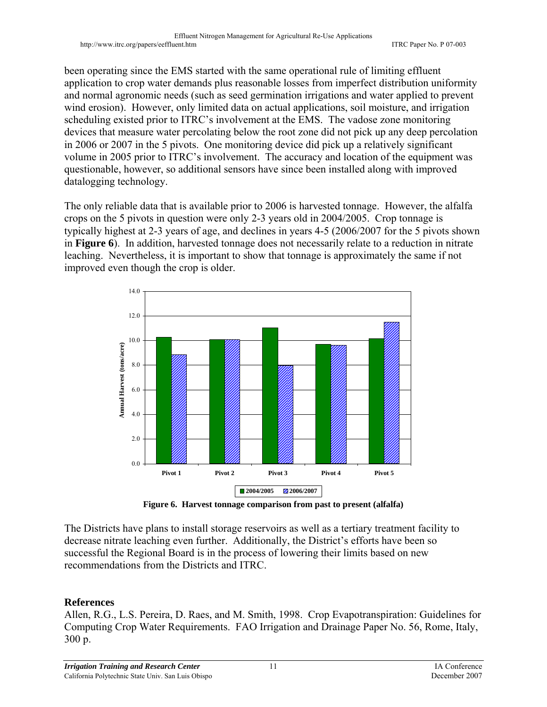been operating since the EMS started with the same operational rule of limiting effluent application to crop water demands plus reasonable losses from imperfect distribution uniformity and normal agronomic needs (such as seed germination irrigations and water applied to prevent wind erosion). However, only limited data on actual applications, soil moisture, and irrigation scheduling existed prior to ITRC's involvement at the EMS. The vadose zone monitoring devices that measure water percolating below the root zone did not pick up any deep percolation in 2006 or 2007 in the 5 pivots. One monitoring device did pick up a relatively significant volume in 2005 prior to ITRC's involvement. The accuracy and location of the equipment was questionable, however, so additional sensors have since been installed along with improved datalogging technology.

The only reliable data that is available prior to 2006 is harvested tonnage. However, the alfalfa crops on the 5 pivots in question were only 2-3 years old in 2004/2005. Crop tonnage is typically highest at 2-3 years of age, and declines in years 4-5 (2006/2007 for the 5 pivots shown in **Figure 6**). In addition, harvested tonnage does not necessarily relate to a reduction in nitrate leaching. Nevertheless, it is important to show that tonnage is approximately the same if not improved even though the crop is older.



**Figure 6. Harvest tonnage comparison from past to present (alfalfa)** 

The Districts have plans to install storage reservoirs as well as a tertiary treatment facility to decrease nitrate leaching even further. Additionally, the District's efforts have been so successful the Regional Board is in the process of lowering their limits based on new recommendations from the Districts and ITRC.

## **References**

Allen, R.G., L.S. Pereira, D. Raes, and M. Smith, 1998. Crop Evapotranspiration: Guidelines for Computing Crop Water Requirements. FAO Irrigation and Drainage Paper No. 56, Rome, Italy, 300 p.